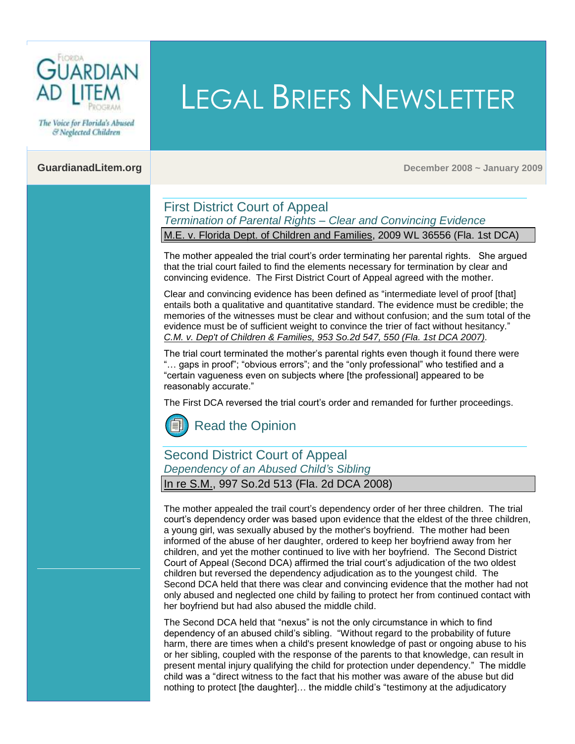

The Voice for Florida's Abused & Neglected Children

**GuardianadLitem.org December 2008 ~ January 2009**

#### First District Court of Appeal *Termination of Parental Rights – Clear and Convincing Evidence* M.E. v. Florida Dept. of Children and Families, 2009 WL 36556 (Fla. 1st DCA)

The mother appealed the trial court's order terminating her parental rights. She argued that the trial court failed to find the elements necessary for termination by clear and convincing evidence. The First District Court of Appeal agreed with the mother.

LEGAL BRIEFS NEWSLETTER

Clear and convincing evidence has been defined as "intermediate level of proof [that] entails both a qualitative and quantitative standard. The evidence must be credible; the memories of the witnesses must be clear and without confusion; and the sum total of the evidence must be of sufficient weight to convince the trier of fact without hesitancy." *C.M. v. Dep't of Children & Families, 953 So.2d 547, 550 (Fla. 1st DCA 2007).*

The trial court terminated the mother's parental rights even though it found there were "… gaps in proof"; "obvious errors"; and the "only professional" who testified and a "certain vagueness even on subjects where [the professional] appeared to be reasonably accurate."

The First DCA reversed the trial court's order and remanded for further proceedings.

[Read the Opinion](http://opinions.1dca.org/written/opinions2009/01-08-2009/08-2662.pdf)

# Second District Court of Appeal *Dependency of an Abused Child's Sibling*

In re S.M., 997 So.2d 513 (Fla. 2d DCA 2008)

The mother appealed the trail court's dependency order of her three children. The trial court's dependency order was based upon evidence that the eldest of the three children, a young girl, was sexually abused by the mother's boyfriend. The mother had been informed of the abuse of her daughter, ordered to keep her boyfriend away from her children, and yet the mother continued to live with her boyfriend. The Second District Court of Appeal (Second DCA) affirmed the trial court's adjudication of the two oldest children but reversed the dependency adjudication as to the youngest child. The Second DCA held that there was clear and convincing evidence that the mother had not only abused and neglected one child by failing to protect her from continued contact with her boyfriend but had also abused the middle child.

The Second DCA held th[at "nexus" is](http://www.guardianadlitem.org/ConferencesandTrainingArchive2007.asp) not the only circumstance in which to find dependency of an abused child's sibling. "Without regard to the probability of future harm, there are times when a child's present knowledge of past or ongoing abuse to his or her sibling, coupled with the response of the parents to that knowledge, can result in present mental injury qualifying the child for protection under dependency." The middle child was a "direct witness to the fact that his mother was aware of the abuse but did nothing to protect [the daughter]… the middle child's "testimony at the adjudicatory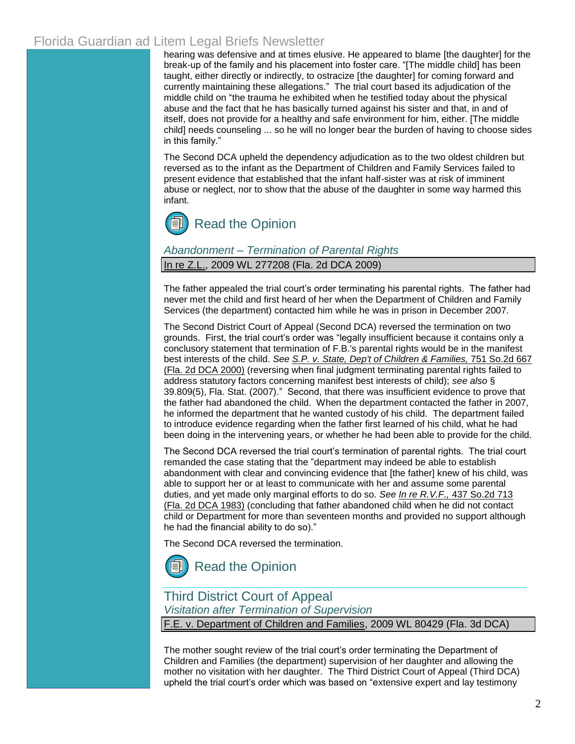hearing was defensive and at times elusive. He appeared to blame [the daughter] for the break-up of the family and his placement into foster care. "[The middle child] has been taught, either directly or indirectly, to ostracize [the daughter] for coming forward and currently maintaining these allegations." The trial court based its adjudication of the middle child on "the trauma he exhibited when he testified today about the physical abuse and the fact that he has basically turned against his sister and that, in and of itself, does not provide for a healthy and safe environment for him, either. [The middle child] needs counseling ... so he will no longer bear the burden of having to choose sides in this family."

The Second DCA upheld the dependency adjudication as to the two oldest children but reversed as to the infant as the Department of Children and Family Services failed to present evidence that established that the infant half-sister was at risk of imminent abuse or neglect, nor to show that the abuse of the daughter in some way harmed this infant.



#### *Abandonment – Termination of Parental Rights* In re Z.L., 2009 WL 277208 (Fla. 2d DCA 2009)

The father appealed the trial court's order terminating his parental rights. The father had never met the child and first heard of her when the Department of Children and Family Services (the department) contacted him while he was in prison in December 2007.

The Second District Court of Appeal (Second DCA) reversed the termination on two grounds. First, the trial court's order was "legally insufficient because it contains only a conclusory statement that termination of F.B.'s parental rights would be in the manifest best interests of the child. *See [S.P. v. State, Dep't of Children & Families,](http://web2.westlaw.com/find/default.wl?serialnum=2000060555&rs=WLW9.01&ifm=NotSet&fn=_top&ordoc=2018088441&tc=-1&findtype=Y&tf=-1&db=735&vr=2.0&rp=%2ffind%2fdefault.wl)* 751 So.2d 667 [\(Fla. 2d DCA 2000\)](http://web2.westlaw.com/find/default.wl?serialnum=2000060555&rs=WLW9.01&ifm=NotSet&fn=_top&ordoc=2018088441&tc=-1&findtype=Y&tf=-1&db=735&vr=2.0&rp=%2ffind%2fdefault.wl) (reversing when final judgment terminating parental rights failed to address statutory factors concerning manifest best interests of child); *see also* [§](http://web2.westlaw.com/find/default.wl?tf=-1&rs=WLW9.01&ifm=NotSet&fn=_top&ordoc=2018088441&tc=-1&findtype=L&docname=FLSTS39.809&db=1000006&vr=2.0&rp=%2ffind%2fdefault.wl)  [39.809\(5\), Fla. Stat](http://web2.westlaw.com/find/default.wl?tf=-1&rs=WLW9.01&ifm=NotSet&fn=_top&ordoc=2018088441&tc=-1&findtype=L&docname=FLSTS39.809&db=1000006&vr=2.0&rp=%2ffind%2fdefault.wl)[. \(2007\).](http://www.leg.state.fl.us/Statutes/index.cfm?App_mode=Display_Statute&Search_String=&URL=Ch0039/SEC809.HTM&Title=->2008->Ch0039->Section%20809#0039.809)" Second, that there was insufficient evidence to prove that the father had abandoned the child. When the department contacted the father in 2007, he informed the department that he wanted custody of his child. The department failed to introduce evidence regarding when the father first learned of his child, what he had been doing in the intervening years, or whether he had been able to provide for the child.

The Second DCA reversed the trial court's termination of parental rights. The trial court remanded the case stating that the "department may indeed be able to establish abandonment with clear and convincing evidence that [the father] knew of his child, was able to support her or at least to communicate with her and assume some parental duties, and yet made only marginal efforts to do so. *See In re R.V.F.,* [437 So.2d 713](http://web2.westlaw.com/find/default.wl?serialnum=1983138555&rs=WLW9.01&ifm=NotSet&fn=_top&ordoc=2018088441&tc=-1&findtype=Y&tf=-1&db=735&vr=2.0&rp=%2ffind%2fdefault.wl)  [\(Fla. 2d DCA 1983\)](http://web2.westlaw.com/find/default.wl?serialnum=1983138555&rs=WLW9.01&ifm=NotSet&fn=_top&ordoc=2018088441&tc=-1&findtype=Y&tf=-1&db=735&vr=2.0&rp=%2ffind%2fdefault.wl) (concluding that father abandoned child when he did not contact child or Department for more than seventeen months and provided no support although he had the financial ability to do so)."

The Second DCA reversed the termination.

[Read the Opinion](http://www.2dca.org/opinions/Opinion_Pages/Opinion_Page_2009/February/February%2006,%202009/2D08-3029.pdf)

## Third District Court of Appeal *Visitation after Termination of Supervision*

F.E. v. Department of Children and Families, 2009 WL 80429 (Fla. 3d DCA)

The mother sought review of the trial court's order terminating the Department of Children and Families (the department) supervision of her daughter and allowing the mother no visitation with her daughter. The Third District Court of Appeal (Third DCA) upheld the trial court's order which was based on "extensive expert and lay testimony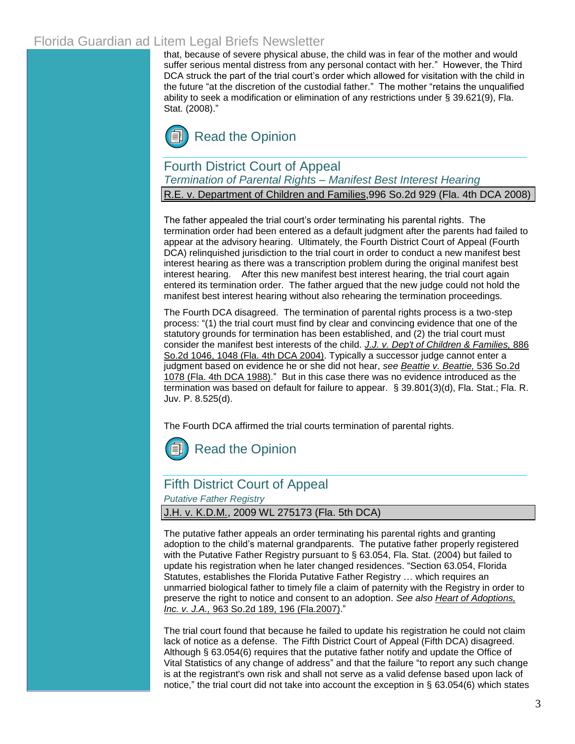that, because of severe physical abuse, the child was in fear of the mother and would suffer serious mental distress from any personal contact with her." However, the Third DCA struck the part of the trial court's order which allowed for visitation with the child in the future "at the discretion of the custodial father." The mother "retains the unqualified ability to seek a modification or elimination of any restrictions under [§ 39.621\(9\), Fla.](http://www.leg.state.fl.us/Statutes/index.cfm?App_mode=Display_Statute&Search_String=&URL=Ch0039/SEC621.HTM&Title=->2008->Ch0039->Section%20621#0039.621)  [Stat. \(2008\)."](http://www.leg.state.fl.us/Statutes/index.cfm?App_mode=Display_Statute&Search_String=&URL=Ch0039/SEC621.HTM&Title=->2008->Ch0039->Section%20621#0039.621)



### Fourth District Court of Appeal *Termination of Parental Rights – Manifest Best Interest Hearing*

R.E. v. Department of Children and Families,996 So.2d 929 (Fla. 4th DCA 2008)

The father appealed the trial court's order terminating his parental rights. The termination order had been entered as a default judgment after the parents had failed to appear at the advisory hearing. Ultimately, the Fourth District Court of Appeal (Fourth DCA) relinquished jurisdiction to the trial court in order to conduct a new manifest best interest hearing as there was a transcription problem during the original manifest best interest hearing. After this new manifest best interest hearing, the trial court again entered its termination order. The father argued that the new judge could not hold the manifest best interest hearing without also rehearing the termination proceedings.

The Fourth DCA disagreed. The termination of parental rights process is a two-step process: "(1) the trial court must find by clear and convincing evidence that one of the statutory grounds for termination has been established, and (2) the trial court must consider the manifest best interests of the child. *J.J. v. Dep't of Children & Families,* 886 So.2d 1046, 1048 (Fla. 4th DCA 2004). Typically a successor judge cannot enter a judgment based on evidence he or she did not hear, *see Beattie v. Beattie,* 536 So.2d 1078 (Fla. 4th DCA 1988)." But in this case there was no evidence introduced as the termination was based on default for failure to appear. [§ 39.801\(3\)\(d\), Fla. Stat.;](http://www.leg.state.fl.us/Statutes/index.cfm?App_mode=Display_Statute&Search_String=&URL=Ch0039/SEC801.HTM&Title=->2008->Ch0039->Section%20801#0039.801) [Fla. R.](http://www.guardianadlitem.org/documents/2008Juvenile20Rules.pdf)  [Juv. P. 8.525\(d\).](http://www.guardianadlitem.org/documents/2008Juvenile20Rules.pdf)

The Fourth DCA affirmed the trial courts termination of parental rights.



## Fifth District Court of Appeal

*Putative Father Registry*

#### J.H. v. K.D.M., 2009 WL 275173 (Fla. 5th DCA)

The putative father appeals an order terminating his parental rights and granting adoption to the child's maternal grandparents. The putative father properly registered with the Putative Father Registry pursuant to § [63.054, Fla. Stat. \(2004\)](http://www.leg.state.fl.us/Statutes/index.cfm?App_mode=Display_Statute&Search_String=&URL=Ch0063/SEC054.HTM&Title=->2008->Ch0063->Section%20054#0063.054) but failed to update his registration when he later changed residences. ["Section 63.054, Florida](http://www.leg.state.fl.us/Statutes/index.cfm?App_mode=Display_Statute&Search_String=&URL=Ch0063/SEC054.HTM&Title=->2008->Ch0063->Section%20054#0063.054)  Statutes, establishes the Florida Putative Father Registry … which requires an unmarried biological father to timely file a claim of paternity with the Registry in order to preserve the right to notice and consent to an adoption. *See als[o](http://www.guardianadlitem.org/case_sums/fathers_putative/pfr_hoa_v_ja.doc) [Heart of Adoptions,](http://web2.westlaw.com/find/default.wl?tf=-1&serialnum=2012690886&rs=WLW9.01&referencepositiontype=S&ifm=NotSet&fn=_top&sv=Split&referenceposition=196&findtype=Y&tc=-1&ordoc=2018086484&db=735&utid=%7b63E735FB-F916-401C-889C-1400CC90ACF9%7d&vr=2.0&rp=%2ffind%2fdefault.wl&mt=Florida)  Inc. v. J.A.,* [963 So.2d 189, 196 \(Fla.2007\)](http://web2.westlaw.com/find/default.wl?tf=-1&serialnum=2012690886&rs=WLW9.01&referencepositiontype=S&ifm=NotSet&fn=_top&sv=Split&referenceposition=196&findtype=Y&tc=-1&ordoc=2018086484&db=735&utid=%7b63E735FB-F916-401C-889C-1400CC90ACF9%7d&vr=2.0&rp=%2ffind%2fdefault.wl&mt=Florida)[."](http://www.guardianadlitem.org/case_sums/fathers_putative/pfr_hoa_v_ja.doc) 

The trial court found that because he failed to update his registration he could not claim lack of notice as a defense. The Fifth District Court of Appeal (Fifth DCA) disagreed. Although [§ 63.054\(6\)](http://www.leg.state.fl.us/Statutes/index.cfm?App_mode=Display_Statute&Search_String=&URL=Ch0063/SEC054.HTM&Title=->2008->Ch0063->Section%20054#0063.054) requires that the putative father notify and update the Office of Vital Statistics of any change of address" and that the failure "to report any such change is at the registrant's own risk and shall not serve as a valid defense based upon lack of notice," the trial court did not take into account the exception in § [63.054\(6\) w](http://www.leg.state.fl.us/Statutes/index.cfm?App_mode=Display_Statute&Search_String=&URL=Ch0063/SEC054.HTM&Title=->2008->Ch0063->Section%20054#0063.054)hich states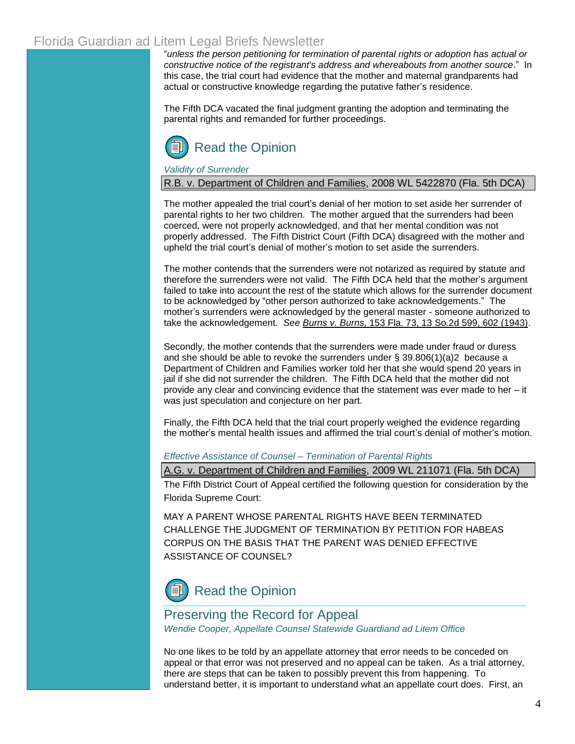"*unless the person petitioning for termination of parental rights or adoption has actual or constructive notice of the registrant's address and whereabouts from another source*." In this case, the trial court had evidence that the mother and maternal grandparents had actual or constructive knowledge regarding the putative father's residence.

The Fifth DCA vacated the final judgment granting the adoption and terminating the parental rights and remanded for further proceedings.



*Validity of Surrender*

R.B. v. Department of Children and Families, 2008 WL 5422870 (Fla. 5th DCA)

The mother appealed the trial court's denial of her motion to set aside her surrender of parental rights to her two children. The mother argued that the surrenders had been coerced, were not properly acknowledged, and that her mental condition was not properly addressed. The Fifth District Court (Fifth DCA) disagreed with the mother and upheld the trial court's denial of mother's motion to set aside the surrenders.

The mother contends that the surrenders were not notarized as required by statute and therefore the surrenders were not valid. The Fifth DCA held that the mother's argument failed to take into account the rest of the statute which allows for the surrender document to be acknowledged by "other person authorized to take acknowledgements." The mother's surrenders were acknowledged by the general master - someone authorized to take the acknowledgement. *See Burns v. Burns,* 153 Fla. 73, 13 So.2d 599, 602 (1943).

Secondly, the mother contends that the surrenders were made under fraud or duress and she should be able to revoke the surrenders under  $\S$  [39.806\(1\)\(a\)2](http://www.leg.state.fl.us/Statutes/index.cfm?App_mode=Display_Statute&Search_String=&URL=Ch0039/SEC806.HTM&Title=->2008->Ch0039->Section%20806#0039.806) because a Department of Children and Families worker told her that she would spend 20 years in jail if she did not surrender the children. The Fifth DCA held that the mother did not provide any clear and convincing evidence that the statement was ever made to her – it was just speculation and conjecture on her part.

Finally, the Fifth DCA held that the trial court properly weighed the evidence regarding the mother's mental health issues and affirmed the trial court's denial of mother's motion.

*Effective Assistance of Counsel – Termination of Parental Rights*

A.G. v. Department of Children and Families, 2009 WL 211071 (Fla. 5th DCA)

The Fifth District Court of Appeal certified the following question for consideration by the Florida Supreme Court:

MAY A PARENT WHOSE PARENTAL RIGHTS HAVE BEEN TERMINATED CHALLENGE THE JUDGMENT OF TERMINATION BY PETITION FOR HABEAS CORPUS ON THE BASIS THAT THE PARENT WAS DENIED EFFECTIVE ASSISTANCE OF COUNSEL?



## Preserving the Record for Appeal

*Wendie Cooper, Appellate Counsel Statewide Guardiand ad Litem Office* 

No one likes to be told by an appellate attorney that error needs to be conceded on appeal or that error was not preserved and no appeal can be taken. As a trial attorney, there are steps that can be taken to possibly prevent this from happening. To understand better, it is important to understand what an appellate court does. First, an